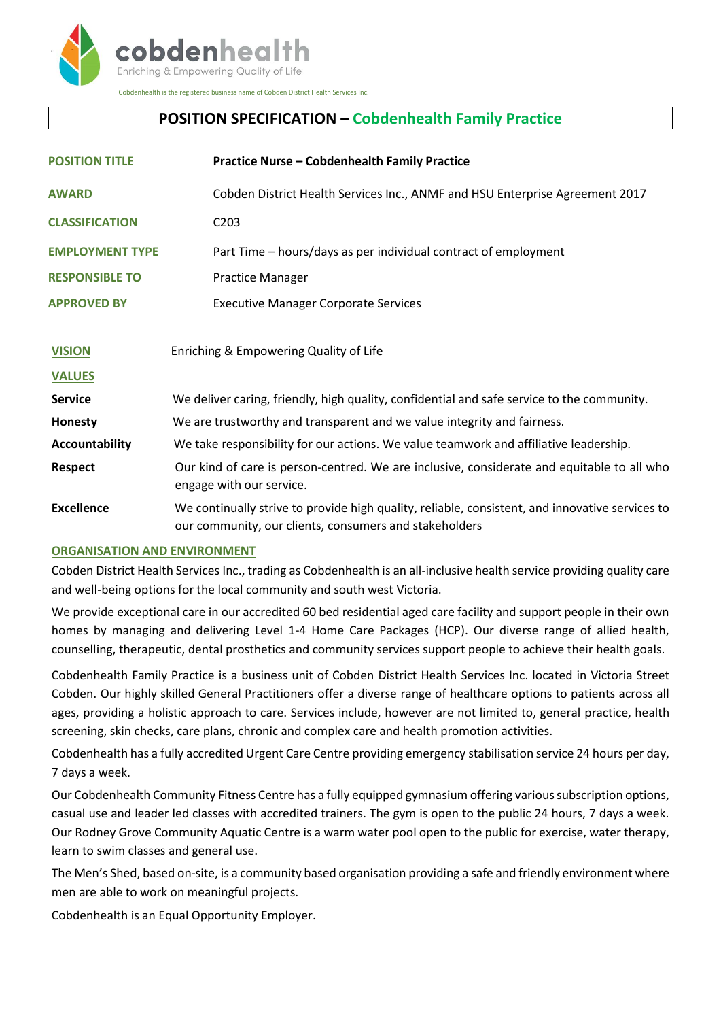

# **POSITION SPECIFICATION – Cobdenhealth Family Practice**

| <b>POSITION TITLE</b>  | <b>Practice Nurse - Cobdenhealth Family Practice</b>                                                                                                      |
|------------------------|-----------------------------------------------------------------------------------------------------------------------------------------------------------|
| <b>AWARD</b>           | Cobden District Health Services Inc., ANMF and HSU Enterprise Agreement 2017                                                                              |
| <b>CLASSIFICATION</b>  | C <sub>2</sub> 03                                                                                                                                         |
| <b>EMPLOYMENT TYPE</b> | Part Time – hours/days as per individual contract of employment                                                                                           |
| <b>RESPONSIBLE TO</b>  | <b>Practice Manager</b>                                                                                                                                   |
| <b>APPROVED BY</b>     | <b>Executive Manager Corporate Services</b>                                                                                                               |
| <b>VISION</b>          | Enriching & Empowering Quality of Life                                                                                                                    |
| <b>VALUES</b>          |                                                                                                                                                           |
| <b>Service</b>         | We deliver caring, friendly, high quality, confidential and safe service to the community.                                                                |
| Honesty                | We are trustworthy and transparent and we value integrity and fairness.                                                                                   |
| Accountability         | We take responsibility for our actions. We value teamwork and affiliative leadership.                                                                     |
| <b>Respect</b>         | Our kind of care is person-centred. We are inclusive, considerate and equitable to all who<br>engage with our service.                                    |
| <b>Excellence</b>      | We continually strive to provide high quality, reliable, consistent, and innovative services to<br>our community, our clients, consumers and stakeholders |

# **ORGANISATION AND ENVIRONMENT**

Cobden District Health Services Inc., trading as Cobdenhealth is an all-inclusive health service providing quality care and well-being options for the local community and south west Victoria.

We provide exceptional care in our accredited 60 bed residential aged care facility and support people in their own homes by managing and delivering Level 1-4 Home Care Packages (HCP). Our diverse range of allied health, counselling, therapeutic, dental prosthetics and community services support people to achieve their health goals.

Cobdenhealth Family Practice is a business unit of Cobden District Health Services Inc. located in Victoria Street Cobden. Our highly skilled General Practitioners offer a diverse range of healthcare options to patients across all ages, providing a holistic approach to care. Services include, however are not limited to, general practice, health screening, skin checks, care plans, chronic and complex care and health promotion activities.

Cobdenhealth has a fully accredited Urgent Care Centre providing emergency stabilisation service 24 hours per day, 7 days a week.

Our Cobdenhealth Community Fitness Centre has a fully equipped gymnasium offering various subscription options, casual use and leader led classes with accredited trainers. The gym is open to the public 24 hours, 7 days a week. Our Rodney Grove Community Aquatic Centre is a warm water pool open to the public for exercise, water therapy, learn to swim classes and general use.

The Men's Shed, based on-site, is a community based organisation providing a safe and friendly environment where men are able to work on meaningful projects.

Cobdenhealth is an Equal Opportunity Employer.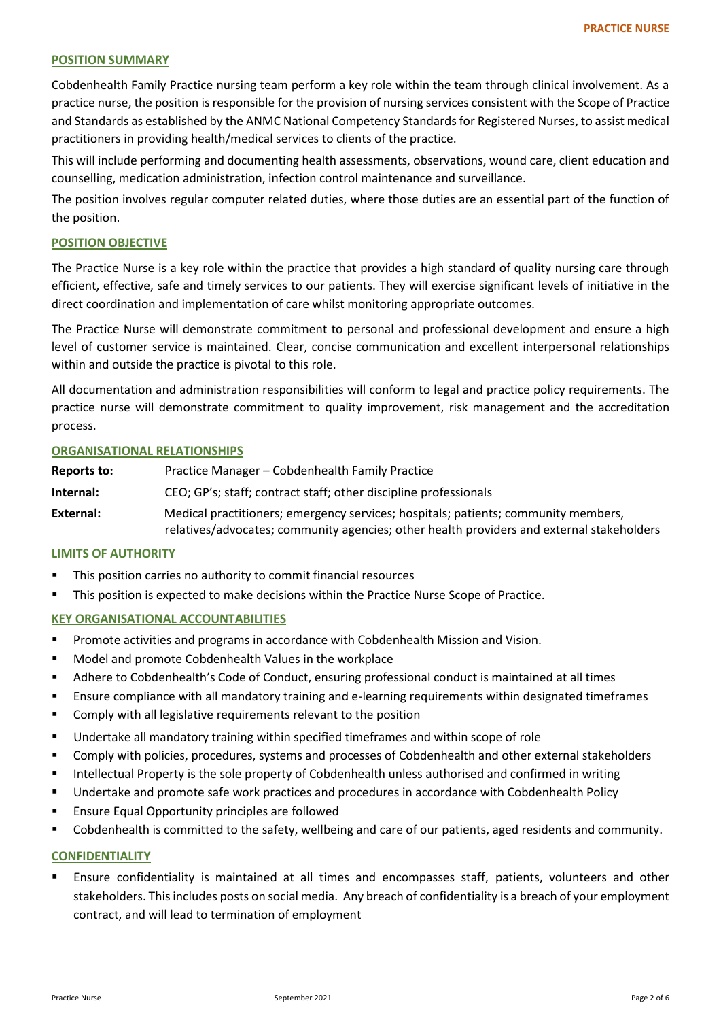### **POSITION SUMMARY**

Cobdenhealth Family Practice nursing team perform a key role within the team through clinical involvement. As a practice nurse, the position is responsible for the provision of nursing services consistent with the Scope of Practice and Standards as established by the ANMC National Competency Standards for Registered Nurses, to assist medical practitioners in providing health/medical services to clients of the practice.

This will include performing and documenting health assessments, observations, wound care, client education and counselling, medication administration, infection control maintenance and surveillance.

The position involves regular computer related duties, where those duties are an essential part of the function of the position.

### **POSITION OBJECTIVE**

The Practice Nurse is a key role within the practice that provides a high standard of quality nursing care through efficient, effective, safe and timely services to our patients. They will exercise significant levels of initiative in the direct coordination and implementation of care whilst monitoring appropriate outcomes.

The Practice Nurse will demonstrate commitment to personal and professional development and ensure a high level of customer service is maintained. Clear, concise communication and excellent interpersonal relationships within and outside the practice is pivotal to this role.

All documentation and administration responsibilities will conform to legal and practice policy requirements. The practice nurse will demonstrate commitment to quality improvement, risk management and the accreditation process.

### **ORGANISATIONAL RELATIONSHIPS**

**Reports to:** Practice Manager – Cobdenhealth Family Practice **Internal:** CEO; GP's; staff; contract staff; other discipline professionals **External:** Medical practitioners; emergency services; hospitals; patients; community members, relatives/advocates; community agencies; other health providers and external stakeholders

### **LIMITS OF AUTHORITY**

- This position carries no authority to commit financial resources
- **This position is expected to make decisions within the Practice Nurse Scope of Practice.**

# **KEY ORGANISATIONAL ACCOUNTABILITIES**

- Promote activities and programs in accordance with Cobdenhealth Mission and Vision.
- **Model and promote Cobdenhealth Values in the workplace**
- Adhere to Cobdenhealth's Code of Conduct, ensuring professional conduct is maintained at all times
- Ensure compliance with all mandatory training and e-learning requirements within designated timeframes
- **EXECOMPLE COMPLY With all legislative requirements relevant to the position**
- Undertake all mandatory training within specified timeframes and within scope of role
- Comply with policies, procedures, systems and processes of Cobdenhealth and other external stakeholders
- **Intellectual Property is the sole property of Cobdenhealth unless authorised and confirmed in writing**
- Undertake and promote safe work practices and procedures in accordance with Cobdenhealth Policy
- **Ensure Equal Opportunity principles are followed**
- Cobdenhealth is committed to the safety, wellbeing and care of our patients, aged residents and community.

### **CONFIDENTIALITY**

 Ensure confidentiality is maintained at all times and encompasses staff, patients, volunteers and other stakeholders. This includes posts on social media. Any breach of confidentiality is a breach of your employment contract, and will lead to termination of employment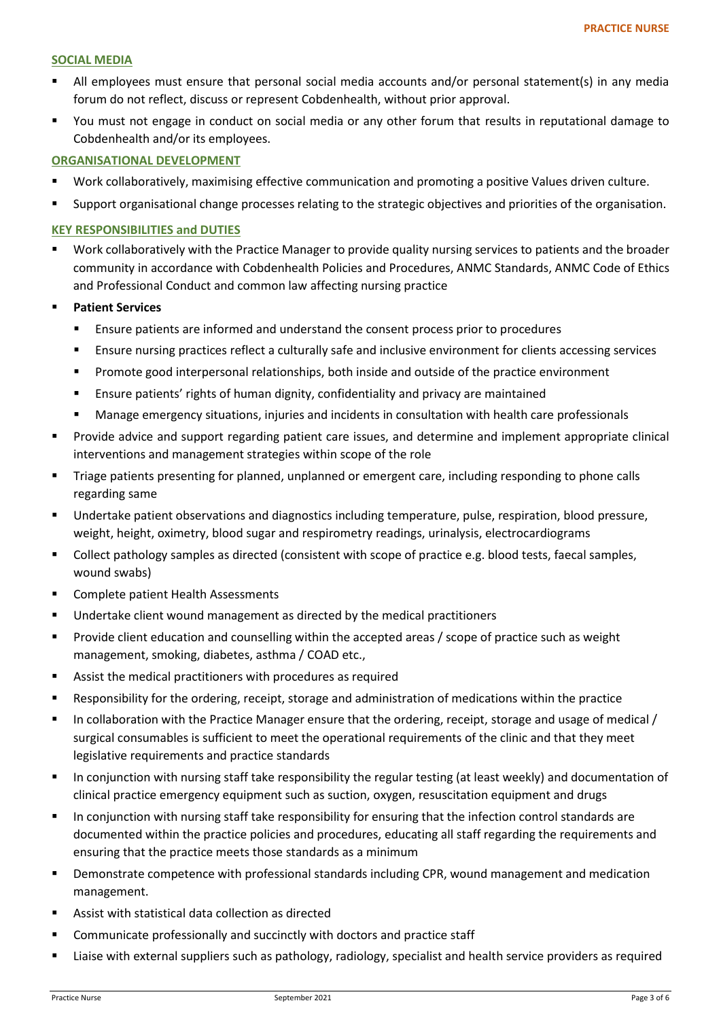### **SOCIAL MEDIA**

- All employees must ensure that personal social media accounts and/or personal statement(s) in any media forum do not reflect, discuss or represent Cobdenhealth, without prior approval.
- You must not engage in conduct on social media or any other forum that results in reputational damage to Cobdenhealth and/or its employees.

# **ORGANISATIONAL DEVELOPMENT**

- Work collaboratively, maximising effective communication and promoting a positive Values driven culture.
- Support organisational change processes relating to the strategic objectives and priorities of the organisation.

# **KEY RESPONSIBILITIES and DUTIES**

- Work collaboratively with the Practice Manager to provide quality nursing services to patients and the broader community in accordance with Cobdenhealth Policies and Procedures, ANMC Standards, ANMC Code of Ethics and Professional Conduct and common law affecting nursing practice
- **Patient Services** 
	- Ensure patients are informed and understand the consent process prior to procedures
	- Ensure nursing practices reflect a culturally safe and inclusive environment for clients accessing services
	- **Promote good interpersonal relationships, both inside and outside of the practice environment**
	- Ensure patients' rights of human dignity, confidentiality and privacy are maintained
	- Manage emergency situations, injuries and incidents in consultation with health care professionals
- Provide advice and support regarding patient care issues, and determine and implement appropriate clinical interventions and management strategies within scope of the role
- Triage patients presenting for planned, unplanned or emergent care, including responding to phone calls regarding same
- Undertake patient observations and diagnostics including temperature, pulse, respiration, blood pressure, weight, height, oximetry, blood sugar and respirometry readings, urinalysis, electrocardiograms
- **Collect pathology samples as directed (consistent with scope of practice e.g. blood tests, faecal samples,** wound swabs)
- Complete patient Health Assessments
- **Undertake client wound management as directed by the medical practitioners**
- **Provide client education and counselling within the accepted areas / scope of practice such as weight** management, smoking, diabetes, asthma / COAD etc.,
- Assist the medical practitioners with procedures as required
- Responsibility for the ordering, receipt, storage and administration of medications within the practice
- In collaboration with the Practice Manager ensure that the ordering, receipt, storage and usage of medical / surgical consumables is sufficient to meet the operational requirements of the clinic and that they meet legislative requirements and practice standards
- In conjunction with nursing staff take responsibility the regular testing (at least weekly) and documentation of clinical practice emergency equipment such as suction, oxygen, resuscitation equipment and drugs
- In conjunction with nursing staff take responsibility for ensuring that the infection control standards are documented within the practice policies and procedures, educating all staff regarding the requirements and ensuring that the practice meets those standards as a minimum
- Demonstrate competence with professional standards including CPR, wound management and medication management.
- Assist with statistical data collection as directed
- Communicate professionally and succinctly with doctors and practice staff
- Liaise with external suppliers such as pathology, radiology, specialist and health service providers as required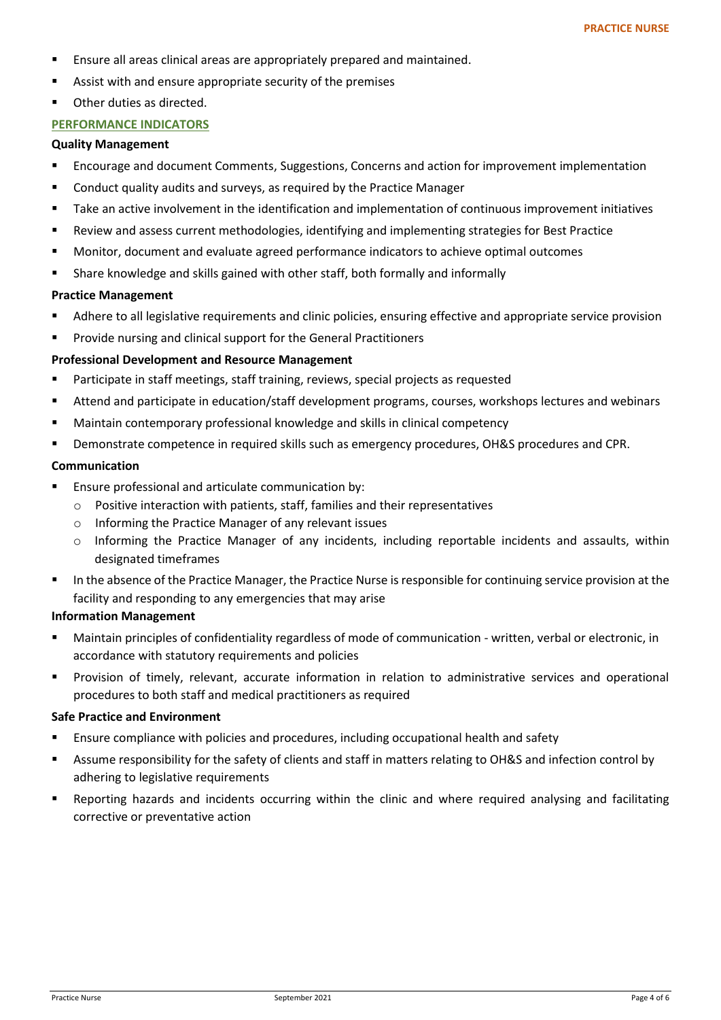- **Ensure all areas clinical areas are appropriately prepared and maintained.**
- Assist with and ensure appropriate security of the premises
- **•** Other duties as directed.

# **PERFORMANCE INDICATORS**

### **Quality Management**

- Encourage and document Comments, Suggestions, Concerns and action for improvement implementation
- **E** Conduct quality audits and surveys, as required by the Practice Manager
- Take an active involvement in the identification and implementation of continuous improvement initiatives
- Review and assess current methodologies, identifying and implementing strategies for Best Practice
- Monitor, document and evaluate agreed performance indicators to achieve optimal outcomes
- Share knowledge and skills gained with other staff, both formally and informally

# **Practice Management**

- Adhere to all legislative requirements and clinic policies, ensuring effective and appropriate service provision
- **Provide nursing and clinical support for the General Practitioners**

# **Professional Development and Resource Management**

- Participate in staff meetings, staff training, reviews, special projects as requested
- Attend and participate in education/staff development programs, courses, workshops lectures and webinars
- Maintain contemporary professional knowledge and skills in clinical competency
- Demonstrate competence in required skills such as emergency procedures, OH&S procedures and CPR.

### **Communication**

- Ensure professional and articulate communication by:
	- o Positive interaction with patients, staff, families and their representatives
	- o Informing the Practice Manager of any relevant issues
	- $\circ$  Informing the Practice Manager of any incidents, including reportable incidents and assaults, within designated timeframes
- In the absence of the Practice Manager, the Practice Nurse is responsible for continuing service provision at the facility and responding to any emergencies that may arise

# **Information Management**

- Maintain principles of confidentiality regardless of mode of communication written, verbal or electronic, in accordance with statutory requirements and policies
- Provision of timely, relevant, accurate information in relation to administrative services and operational procedures to both staff and medical practitioners as required

# **Safe Practice and Environment**

- Ensure compliance with policies and procedures, including occupational health and safety
- Assume responsibility for the safety of clients and staff in matters relating to OH&S and infection control by adhering to legislative requirements
- Reporting hazards and incidents occurring within the clinic and where required analysing and facilitating corrective or preventative action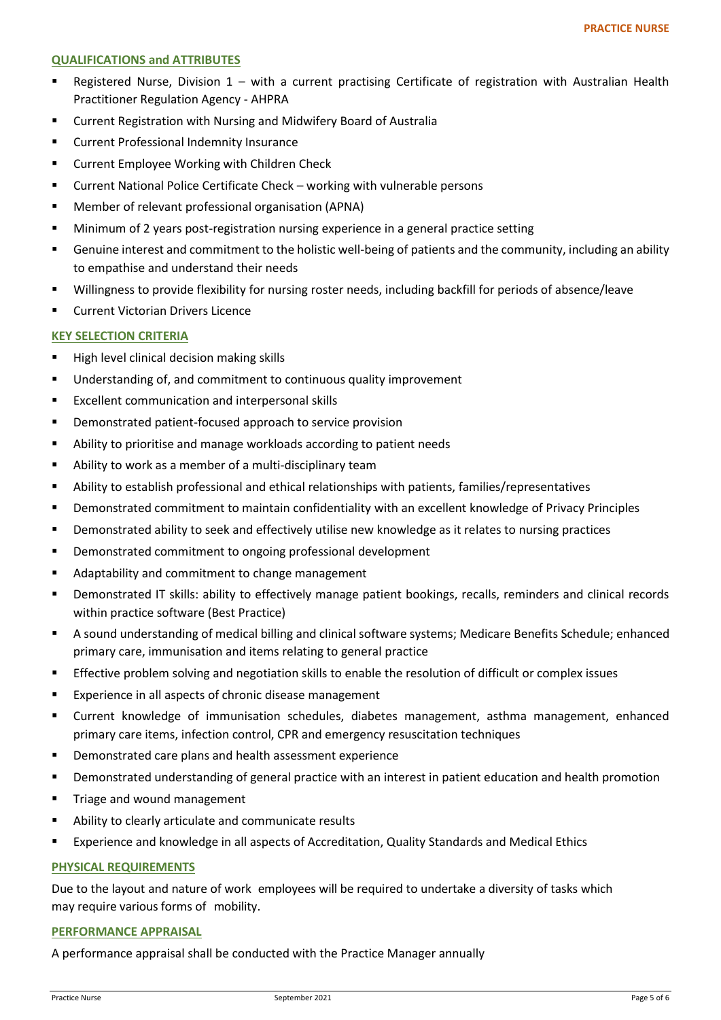### **QUALIFICATIONS and ATTRIBUTES**

- Registered Nurse, Division 1 with a current practising Certificate of registration with Australian Health Practitioner Regulation Agency - AHPRA
- Current Registration with Nursing and Midwifery Board of Australia
- **EXECUTE: Current Professional Indemnity Insurance**
- **EXECUTE:** Current Employee Working with Children Check
- Current National Police Certificate Check working with vulnerable persons
- Member of relevant professional organisation (APNA)
- Minimum of 2 years post-registration nursing experience in a general practice setting
- Genuine interest and commitment to the holistic well-being of patients and the community, including an ability to empathise and understand their needs
- Willingness to provide flexibility for nursing roster needs, including backfill for periods of absence/leave
- **EXECUTE:** Current Victorian Drivers Licence

# **KEY SELECTION CRITERIA**

- High level clinical decision making skills
- **Understanding of, and commitment to continuous quality improvement**
- **Excellent communication and interpersonal skills**
- **•** Demonstrated patient-focused approach to service provision
- Ability to prioritise and manage workloads according to patient needs
- Ability to work as a member of a multi-disciplinary team
- Ability to establish professional and ethical relationships with patients, families/representatives
- Demonstrated commitment to maintain confidentiality with an excellent knowledge of Privacy Principles
- Demonstrated ability to seek and effectively utilise new knowledge as it relates to nursing practices
- **•** Demonstrated commitment to ongoing professional development
- **Adaptability and commitment to change management**
- Demonstrated IT skills: ability to effectively manage patient bookings, recalls, reminders and clinical records within practice software (Best Practice)
- A sound understanding of medical billing and clinical software systems; Medicare Benefits Schedule; enhanced primary care, immunisation and items relating to general practice
- **Effective problem solving and negotiation skills to enable the resolution of difficult or complex issues**
- **Experience in all aspects of chronic disease management**
- Current knowledge of immunisation schedules, diabetes management, asthma management, enhanced primary care items, infection control, CPR and emergency resuscitation techniques
- **•** Demonstrated care plans and health assessment experience
- Demonstrated understanding of general practice with an interest in patient education and health promotion
- **Triage and wound management**
- Ability to clearly articulate and communicate results
- Experience and knowledge in all aspects of Accreditation, Quality Standards and Medical Ethics

# **PHYSICAL REQUIREMENTS**

Due to the layout and nature of work employees will be required to undertake a diversity of tasks which may require various forms of mobility.

### **PERFORMANCE APPRAISAL**

A performance appraisal shall be conducted with the Practice Manager annually